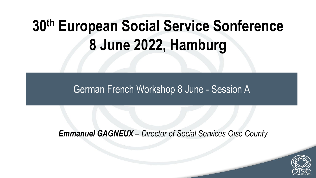## **30th European Social Service Sonference 8 June 2022, Hamburg**

#### German French Workshop 8 June - Session A

*Emmanuel GAGNEUX – Director of Social Services Oise County*

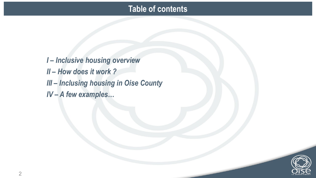#### **Table of contents**

*I – Inclusive housing overview II – How does it work ? III – Inclusing housing in Oise County IV – A few examples…*

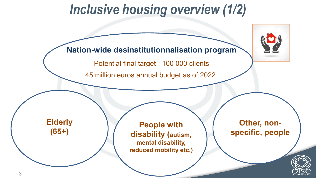#### *Inclusive housing overview (1/2)*

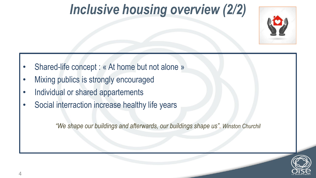### *Inclusive housing overview (2/2)*



- Shared-life concept : « At home but not alone »
- Mixing publics is strongly encouraged
- Individual or shared appartements
- Social interraction increase healthy life years

*"We shape our buildings and afterwards, our buildings shape us"*. *Winston Churchil*

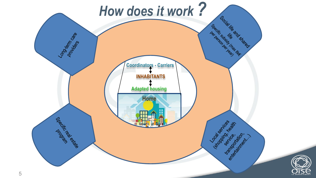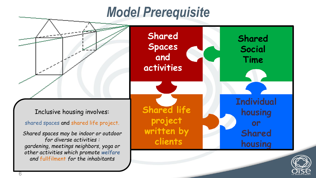#### *Model Prerequisite*

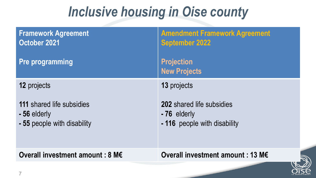#### *Inclusive housing in Oise county*

| <b>Framework Agreement</b><br>October 2021                                      | <b>Amendment Framework Agreement</b><br><b>September 2022</b>                   |
|---------------------------------------------------------------------------------|---------------------------------------------------------------------------------|
| <b>Pre programming</b>                                                          | <b>Projection</b><br><b>New Projects</b>                                        |
| 12 projects                                                                     | 13 projects                                                                     |
| <b>111 shared life subsidies</b><br>- 56 elderly<br>- 55 people with disability | <b>202</b> shared life subsidies<br>-76 elderly<br>- 116 people with disability |
| Overall investment amount : 8 M€                                                | Overall investment amount : 13 M€                                               |
|                                                                                 |                                                                                 |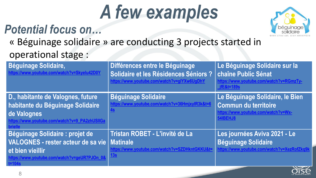# *A few examples*

#### *Potential focus on…*



« Béguinage solidaire » are conducting 3 projects started in operational stage :

| <b>Béguinage Solidaire,</b><br>https://www.youtube.com/watch?v=Skyelu42D0Y                                                                                       | Différences entre le Béguinage<br>Solidaire et les Résidences Séniors ?<br>https://www.youtube.com/watch?v=glYXw6UgDhY | Le Béguinage Solidaire sur la<br>chaîne Public Sénat<br>https://www.youtube.com/watch?v=RGmzTy-<br>$jfE&t=189s$   |
|------------------------------------------------------------------------------------------------------------------------------------------------------------------|------------------------------------------------------------------------------------------------------------------------|-------------------------------------------------------------------------------------------------------------------|
| D., habitante de Valognes, future<br>habitante du Béguinage Solidaire<br>de Valognes<br>https://www.youtube.com/watch?v=9_PA2zhUSIIGa<br><b>brielle</b>          | <b>Béguinage Solidaire</b><br>https://www.youtube.com/watch?v=36HmjxylR3k&t=6                                          | Le Béguinage Solidaire, le Bien<br><b>Commun du territoire</b><br>https://www.youtube.com/watch?v=Wx-<br>54IBEHJ8 |
| Béguinage Solidaire : projet de<br>VALOGNES - rester acteur de sa vie   Matinale<br>et bien vieillir<br>https://www.youtube.com/watch?v=geUR7PJOn_0&<br>$t=104s$ | Tristan ROBET - L'invité de La<br>https://www.youtube.com/watch?v=SZDHkntGKKU&t=<br>13 <sub>s</sub>                    | Les journées Aviva 2021 - Le<br>Béguinage Solidaire<br>https://www.youtube.com/watch?v=XezRofZkq9k                |

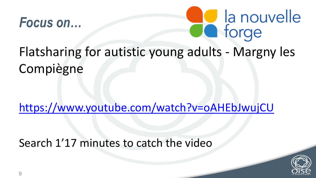



### Flatsharing for autistic young adults - Margny les Compiègne

<https://www.youtube.com/watch?v=oAHEbJwujCU>

Search 1'17 minutes to catch the video